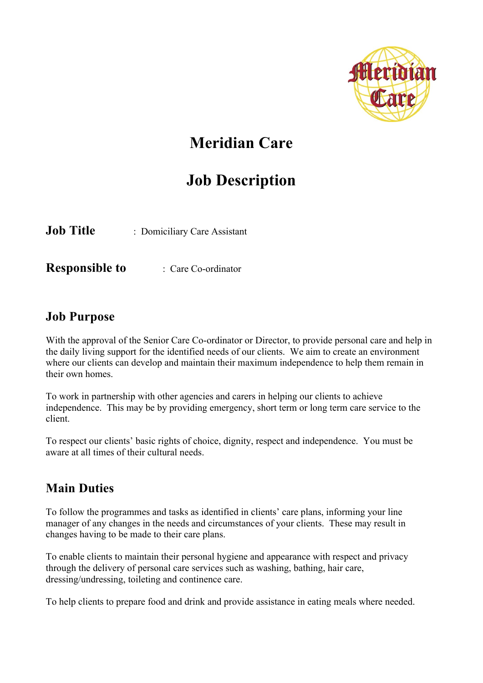

# **Meridian Care**

# **Job Description**

**Job Title** : Domiciliary Care Assistant

**Responsible to** : Care Co-ordinator

### **Job Purpose**

With the approval of the Senior Care Co-ordinator or Director, to provide personal care and help in the daily living support for the identified needs of our clients. We aim to create an environment where our clients can develop and maintain their maximum independence to help them remain in their own homes.

To work in partnership with other agencies and carers in helping our clients to achieve independence. This may be by providing emergency, short term or long term care service to the client.

To respect our clients' basic rights of choice, dignity, respect and independence. You must be aware at all times of their cultural needs.

## **Main Duties**

To follow the programmes and tasks as identified in clients' care plans, informing your line manager of any changes in the needs and circumstances of your clients. These may result in changes having to be made to their care plans.

To enable clients to maintain their personal hygiene and appearance with respect and privacy through the delivery of personal care services such as washing, bathing, hair care, dressing/undressing, toileting and continence care.

To help clients to prepare food and drink and provide assistance in eating meals where needed.